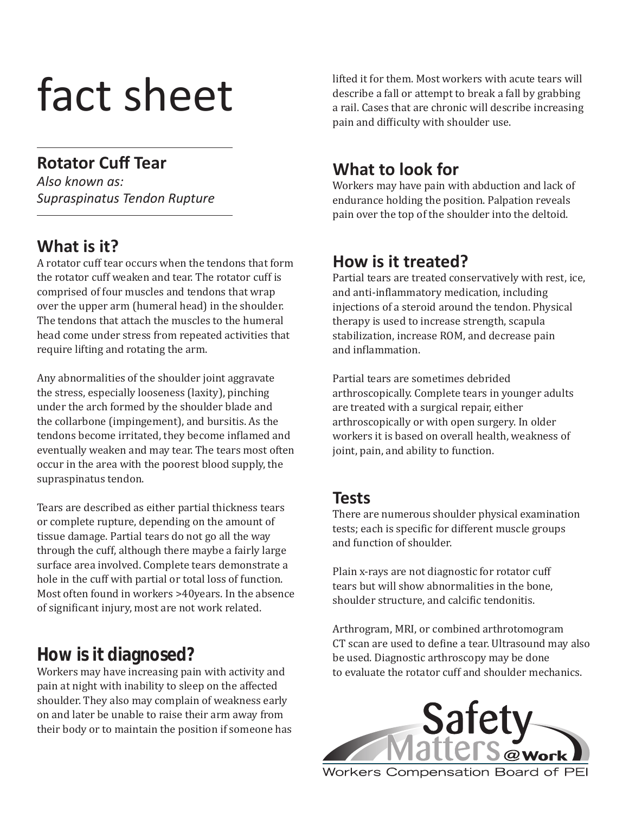# fact sheet

### **Rotator Cuff Tear**

*Also known as: Supraspinatus Tendon Rupture*

## **What is it?**

A rotator cuff tear occurs when the tendons that form the rotator cuff weaken and tear. The rotator cuff is comprised of four muscles and tendons that wrap over the upper arm (humeral head) in the shoulder. The tendons that attach the muscles to the humeral head come under stress from repeated activities that require lifting and rotating the arm.

Any abnormalities of the shoulder joint aggravate the stress, especially looseness (laxity), pinching under the arch formed by the shoulder blade and the collarbone (impingement), and bursitis. As the tendons become irritated, they become inflamed and eventually weaken and may tear. The tears most often occur in the area with the poorest blood supply, the supraspinatus tendon.

Tears are described as either partial thickness tears or complete rupture, depending on the amount of tissue damage. Partial tears do not go all the way through the cuff, although there maybe a fairly large surface area involved. Complete tears demonstrate a hole in the cuff with partial or total loss of function. Most often found in workers >40years. In the absence of significant injury, most are not work related.

## **How is it diagnosed?**

Workers may have increasing pain with activity and pain at night with inability to sleep on the affected shoulder. They also may complain of weakness early on and later be unable to raise their arm away from their body or to maintain the position if someone has lifted it for them. Most workers with acute tears will describe a fall or attempt to break a fall by grabbing a rail. Cases that are chronic will describe increasing pain and difficulty with shoulder use.

## **What to look for**

Workers may have pain with abduction and lack of endurance holding the position. Palpation reveals pain over the top of the shoulder into the deltoid.

## **How is it treated?**

Partial tears are treated conservatively with rest, ice, and anti-inflammatory medication, including injections of a steroid around the tendon. Physical therapy is used to increase strength, scapula stabilization, increase ROM, and decrease pain and inflammation.

Partial tears are sometimes debrided arthroscopically. Complete tears in younger adults are treated with a surgical repair, either arthroscopically or with open surgery. In older workers it is based on overall health, weakness of joint, pain, and ability to function.

#### **Tests**

There are numerous shoulder physical examination tests; each is specific for different muscle groups and function of shoulder.

Plain x-rays are not diagnostic for rotator cuff tears but will show abnormalities in the bone, shoulder structure, and calcific tendonitis.

Arthrogram, MRI, or combined arthrotomogram CT scan are used to define a tear. Ultrasound may also be used. Diagnostic arthroscopy may be done to evaluate the rotator cuff and shoulder mechanics.